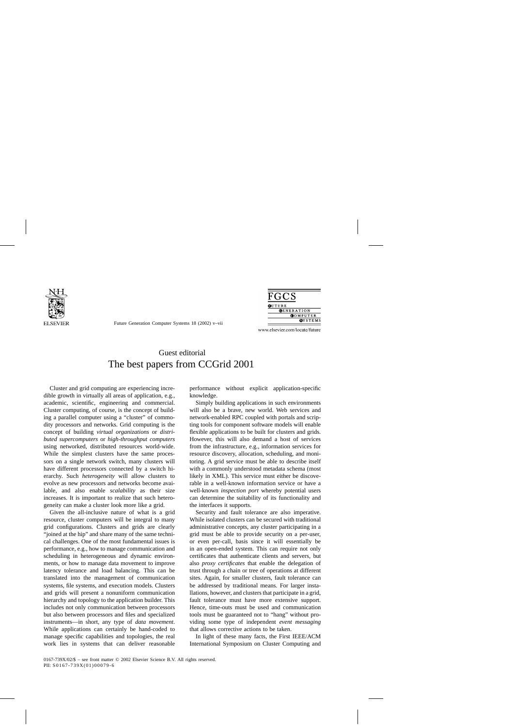

Future Generation Computer Systems 18 (2002) v–vii



www.elsevier.com/locate/future

## Guest editorial The best papers from CCGrid 2001

Cluster and grid computing are experiencing incredible growth in virtually all areas of application, e.g., academic, scientific, engineering and commercial. Cluster computing, of course, is the concept of building a parallel computer using a "cluster" of commodity processors and networks. Grid computing is the concept of building *virtual organizations* or *distributed supercomputers* or *high-throughput computers* using networked, distributed resources world-wide. While the simplest clusters have the same processors on a single network switch, many clusters will have different processors connected by a switch hierarchy. Such *heterogeneity* will allow clusters to evolve as new processors and networks become available, and also enable *scalability* as their size increases. It is important to realize that such heterogeneity can make a cluster look more like a grid.

Given the all-inclusive nature of what is a grid resource, cluster computers will be integral to many grid configurations. Clusters and grids are clearly "joined at the hip" and share many of the same technical challenges. One of the most fundamental issues is performance, e.g., how to manage communication and scheduling in heterogeneous and dynamic environments, or how to manage data movement to improve latency tolerance and load balancing. This can be translated into the management of communication systems, file systems, and execution models. Clusters and grids will present a nonuniform communication hierarchy and topology to the application builder. This includes not only communication between processors but also between processors and files and specialized instruments—in short, any type of *data movement*. While applications can certainly be hand-coded to manage specific capabilities and topologies, the real work lies in systems that can deliver reasonable performance without explicit application-specific knowledge.

Simply building applications in such environments will also be a brave, new world. Web services and network-enabled RPC coupled with portals and scripting tools for component software models will enable flexible applications to be built for clusters and grids. However, this will also demand a host of services from the infrastructure, e.g., information services for resource discovery, allocation, scheduling, and monitoring. A grid service must be able to describe itself with a commonly understood metadata schema (most likely in XML). This service must either be discoverable in a well-known information service or have a well-known *inspection port* whereby potential users can determine the suitability of its functionality and the interfaces it supports.

Security and fault tolerance are also imperative. While isolated clusters can be secured with traditional administrative concepts, any cluster participating in a grid must be able to provide security on a per-user, or even per-call, basis since it will essentially be in an open-ended system. This can require not only certificates that authenticate clients and servers, but also *proxy certificates* that enable the delegation of trust through a chain or tree of operations at different sites. Again, for smaller clusters, fault tolerance can be addressed by traditional means. For larger installations, however, and clusters that participate in a grid, fault tolerance must have more extensive support. Hence, time-outs must be used and communication tools must be guaranteed not to "hang" without providing some type of independent *event messaging* that allows corrective actions to be taken.

In light of these many facts, the First IEEE/ACM International Symposium on Cluster Computing and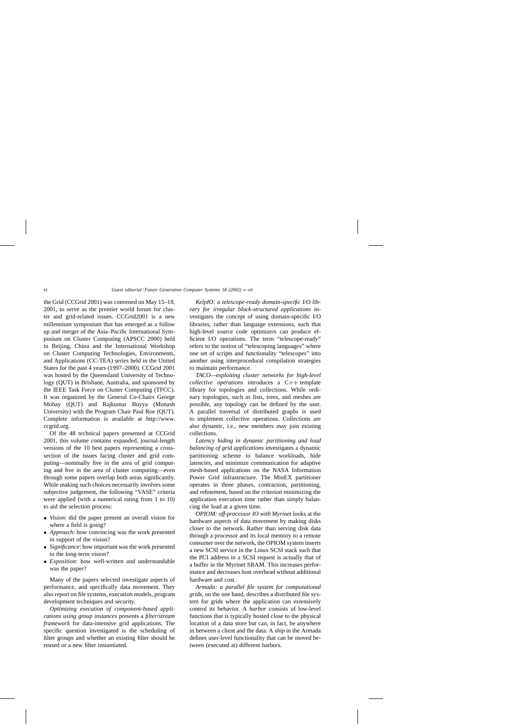the Grid (CCGrid 2001) was convened on May 15–18, 2001, to serve as the premier world forum for cluster and grid-related issues. CCGrid2001 is a new millennium symposium that has emerged as a follow up and merger of the Asia–Pacific International Symposium on Cluster Computing (APSCC 2000) held in Beijing, China and the International Workshop on Cluster Computing Technologies, Environments, and Applications (CC-TEA) series held in the United States for the past 4 years (1997–2000). CCGrid 2001 was hosted by the Queensland University of Technology (QUT) in Brisbane, Australia, and sponsored by the IEEE Task Force on Cluster Computing (TFCC). It was organized by the General Co-Chairs George Mohay (QUT) and Rajkumar Buyya (Monash University) with the Program Chair Paul Roe (QUT). Complete information is available at http://www. ccgrid.org.

Of the 48 technical papers presented at CCGrid 2001, this volume contains expanded, journal-length versions of the 10 best papers representing a crosssection of the issues facing cluster and grid computing—nominally five in the area of grid computing and five in the area of cluster computing—even through some papers overlap both areas significantly. While making such choices necessarily involves some subjective judgement, the following "VASE" criteria were applied (with a numerical rating from 1 to 10) to aid the selection process:

- *Vision*: did the paper present an overall vision for where a field is going?
- *Approach*: how convincing was the work presented in support of the vision?
- *Significance*: how important was the work presented to the long-term vision?
- *Exposition*: how well-written and understandable was the paper?

Many of the papers selected investigate aspects of performance, and specifically data movement. They also report on file systems, execution models, program development techniques and security.

*Optimizing execution of component-based applications using group instances* presents a *filter/stream framework* for data-intensive grid applications. The specific question investigated is the scheduling of filter groups and whether an existing filter should be reused or a new filter instantiated.

*KelpIO: a telescope-ready domain-specific I/O library for irregular block-structured applications* investigates the concept of using domain-specific I/O libraries, rather than language extensions, such that high-level source code optimizers can produce efficient I/O operations. The term "telescope-ready" refers to the notion of "telescoping languages" where one set of scripts and functionality "telescopes" into another using interprocedural compilation strategies to maintain performance.

*TACO—exploiting cluster networks for high-level collective operations* introduces a C++ template library for topologies and collections. While ordinary topologies, such as lists, trees, and meshes are possible, any topology can be defined by the user. A parallel traversal of distributed graphs is used to implement collective operations. Collections are also dynamic, i.e., new members may join existing collections.

*Latency hiding in dynamic partitioning and load balancing of grid applications* investigates a dynamic partitioning scheme to balance workloads, hide latencies, and minimize communication for adaptive mesh-based applications on the NASA Information Power Grid infrastructure. The MinEX partitioner operates in three phases, contraction, partitioning, and refinement, based on the criterion minimizing the application execution time rather than simply balancing the load at a given time.

*OPIOM: off-processor IO with Myrinet* looks at the hardware aspects of data movement by making disks closer to the network. Rather than serving disk data through a processor and its local memory to a remote consumer over the network, the OPIOM system inserts a new SCSI service in the Linux SCSI stack such that the PCI address in a SCSI request is actually that of a buffer in the Myrinet SRAM. This increases performance and decreases host overhead without additional hardware and cost.

*Armada: a parallel file system for computational grids*, on the one hand, describes a distributed file system for grids where the application can extensively control its behavior. A *harbor* consists of low-level functions that is typically hosted close to the physical location of a data store but can, in fact, be anywhere in between a client and the data. A *ship* in the Armada defines user-level functionality that can be moved between (executed at) different harbors.